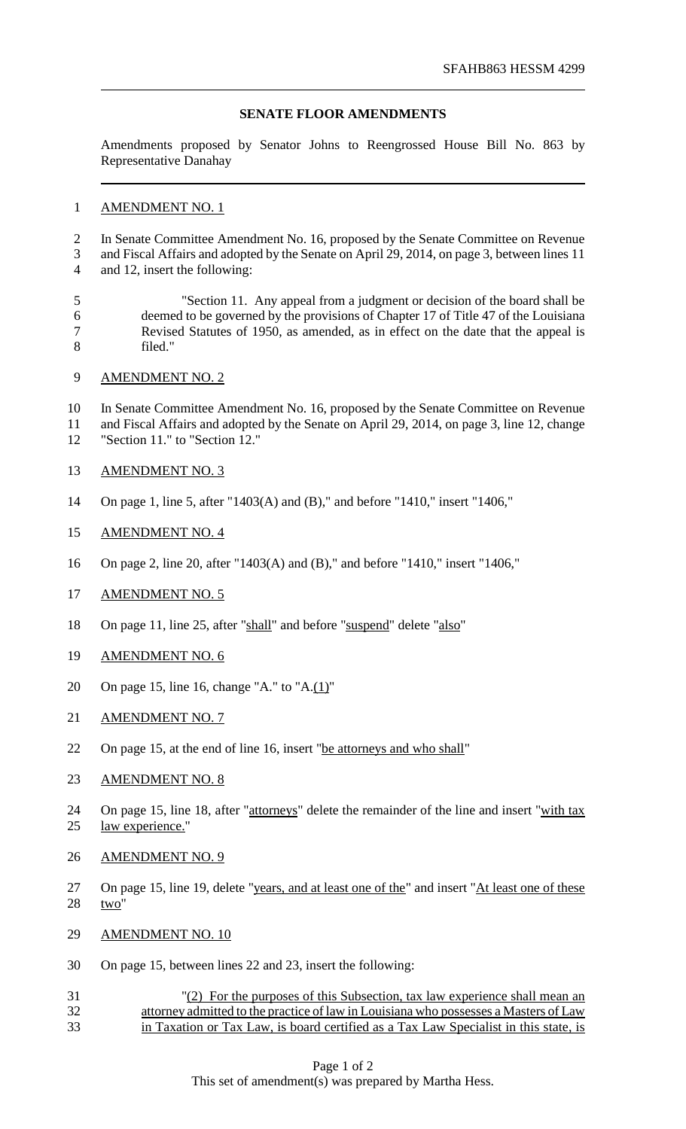## **SENATE FLOOR AMENDMENTS**

Amendments proposed by Senator Johns to Reengrossed House Bill No. 863 by Representative Danahay

## AMENDMENT NO. 1

 In Senate Committee Amendment No. 16, proposed by the Senate Committee on Revenue and Fiscal Affairs and adopted by the Senate on April 29, 2014, on page 3, between lines 11 and 12, insert the following:

 "Section 11. Any appeal from a judgment or decision of the board shall be deemed to be governed by the provisions of Chapter 17 of Title 47 of the Louisiana Revised Statutes of 1950, as amended, as in effect on the date that the appeal is filed."

AMENDMENT NO. 2

 In Senate Committee Amendment No. 16, proposed by the Senate Committee on Revenue and Fiscal Affairs and adopted by the Senate on April 29, 2014, on page 3, line 12, change "Section 11." to "Section 12."

- AMENDMENT NO. 3
- On page 1, line 5, after "1403(A) and (B)," and before "1410," insert "1406,"
- AMENDMENT NO. 4
- On page 2, line 20, after "1403(A) and (B)," and before "1410," insert "1406,"
- AMENDMENT NO. 5
- On page 11, line 25, after "shall" and before "suspend" delete "also"
- AMENDMENT NO. 6
- 20 On page 15, line 16, change "A." to "A. $(1)$ "
- 21 AMENDMENT NO. 7
- 22 On page 15, at the end of line 16, insert "be attorneys and who shall"
- 23 AMENDMENT NO. 8
- 24 On page 15, line 18, after "attorneys" delete the remainder of the line and insert "with tax law experience."
- AMENDMENT NO. 9
- 27 On page 15, line 19, delete "years, and at least one of the" and insert "At least one of these two"
- AMENDMENT NO. 10
- On page 15, between lines 22 and 23, insert the following:
- "(2) For the purposes of this Subsection, tax law experience shall mean an attorney admitted to the practice of law in Louisiana who possesses a Masters of Law in Taxation or Tax Law, is board certified as a Tax Law Specialist in this state, is